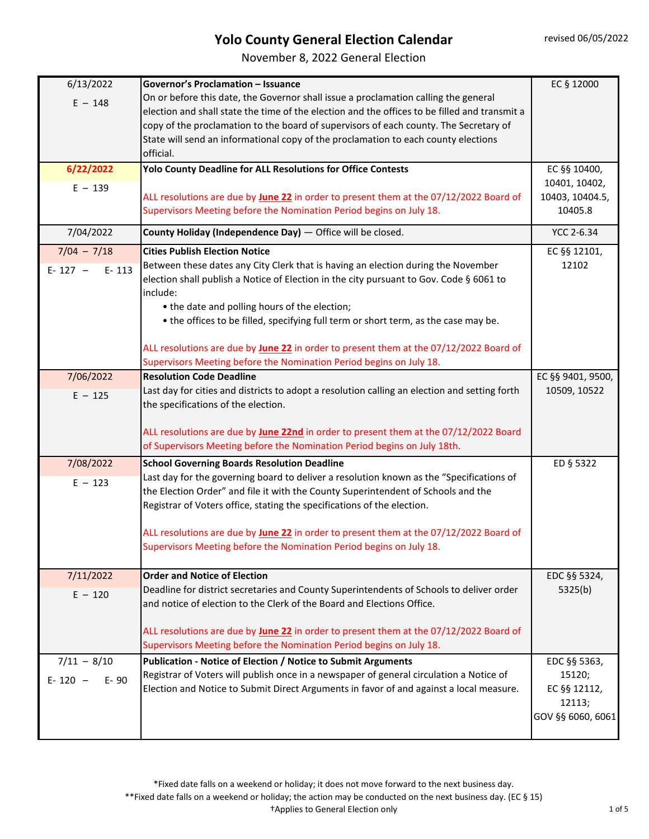November 8, 2022 General Election

| 6/13/2022                | <b>Governor's Proclamation - Issuance</b>                                                                                                                                          | EC § 12000             |
|--------------------------|------------------------------------------------------------------------------------------------------------------------------------------------------------------------------------|------------------------|
| $E - 148$                | On or before this date, the Governor shall issue a proclamation calling the general                                                                                                |                        |
|                          | election and shall state the time of the election and the offices to be filled and transmit a                                                                                      |                        |
|                          | copy of the proclamation to the board of supervisors of each county. The Secretary of                                                                                              |                        |
|                          | State will send an informational copy of the proclamation to each county elections                                                                                                 |                        |
|                          | official.                                                                                                                                                                          |                        |
| 6/22/2022                | <b>Yolo County Deadline for ALL Resolutions for Office Contests</b>                                                                                                                | EC §§ 10400,           |
| $E - 139$                |                                                                                                                                                                                    | 10401, 10402,          |
|                          | ALL resolutions are due by <b>June 22</b> in order to present them at the 07/12/2022 Board of                                                                                      | 10403, 10404.5,        |
|                          | Supervisors Meeting before the Nomination Period begins on July 18.                                                                                                                | 10405.8                |
| 7/04/2022                | County Holiday (Independence Day) - Office will be closed.                                                                                                                         | YCC 2-6.34             |
| $7/04 - 7/18$            | <b>Cities Publish Election Notice</b>                                                                                                                                              | EC §§ 12101,           |
| $E - 127 -$<br>$E - 113$ | Between these dates any City Clerk that is having an election during the November                                                                                                  | 12102                  |
|                          | election shall publish a Notice of Election in the city pursuant to Gov. Code § 6061 to                                                                                            |                        |
|                          | include:                                                                                                                                                                           |                        |
|                          | • the date and polling hours of the election;                                                                                                                                      |                        |
|                          | • the offices to be filled, specifying full term or short term, as the case may be.                                                                                                |                        |
|                          | ALL resolutions are due by <b>June 22</b> in order to present them at the 07/12/2022 Board of                                                                                      |                        |
|                          | Supervisors Meeting before the Nomination Period begins on July 18.                                                                                                                |                        |
| 7/06/2022                | <b>Resolution Code Deadline</b>                                                                                                                                                    | EC §§ 9401, 9500,      |
| $E - 125$                | Last day for cities and districts to adopt a resolution calling an election and setting forth                                                                                      | 10509, 10522           |
|                          | the specifications of the election.                                                                                                                                                |                        |
|                          |                                                                                                                                                                                    |                        |
|                          | ALL resolutions are due by <b>June 22nd</b> in order to present them at the 07/12/2022 Board                                                                                       |                        |
|                          | of Supervisors Meeting before the Nomination Period begins on July 18th.                                                                                                           |                        |
| 7/08/2022                | <b>School Governing Boards Resolution Deadline</b>                                                                                                                                 | ED § 5322              |
| $E - 123$                | Last day for the governing board to deliver a resolution known as the "Specifications of                                                                                           |                        |
|                          | the Election Order" and file it with the County Superintendent of Schools and the                                                                                                  |                        |
|                          | Registrar of Voters office, stating the specifications of the election.                                                                                                            |                        |
|                          | ALL resolutions are due by June 22 in order to present them at the 07/12/2022 Board of                                                                                             |                        |
|                          | Supervisors Meeting before the Nomination Period begins on July 18.                                                                                                                |                        |
|                          |                                                                                                                                                                                    |                        |
| 7/11/2022                | <b>Order and Notice of Election</b>                                                                                                                                                | EDC §§ 5324,           |
| $E - 120$                | Deadline for district secretaries and County Superintendents of Schools to deliver order                                                                                           | 5325(b)                |
|                          | and notice of election to the Clerk of the Board and Elections Office.                                                                                                             |                        |
|                          |                                                                                                                                                                                    |                        |
|                          | ALL resolutions are due by June 22 in order to present them at the 07/12/2022 Board of                                                                                             |                        |
|                          | Supervisors Meeting before the Nomination Period begins on July 18.                                                                                                                |                        |
| $7/11 - 8/10$            | Publication - Notice of Election / Notice to Submit Arguments                                                                                                                      | EDC §§ 5363,           |
| $E - 120 -$<br>$E - 90$  | Registrar of Voters will publish once in a newspaper of general circulation a Notice of<br>Election and Notice to Submit Direct Arguments in favor of and against a local measure. | 15120;<br>EC §§ 12112, |
|                          |                                                                                                                                                                                    | 12113;                 |
|                          |                                                                                                                                                                                    | GOV §§ 6060, 6061      |
|                          |                                                                                                                                                                                    |                        |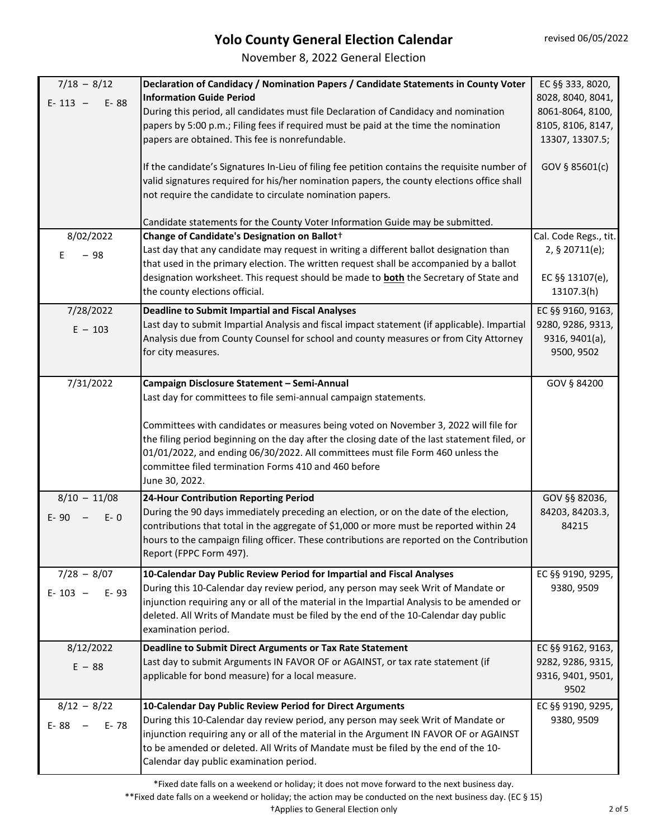November 8, 2022 General Election

| $7/18 - 8/12$         | Declaration of Candidacy / Nomination Papers / Candidate Statements in County Voter                         | EC §§ 333, 8020,      |
|-----------------------|-------------------------------------------------------------------------------------------------------------|-----------------------|
| $E - 113 -$<br>E-88   | <b>Information Guide Period</b>                                                                             | 8028, 8040, 8041,     |
|                       | During this period, all candidates must file Declaration of Candidacy and nomination                        | 8061-8064, 8100,      |
|                       | papers by 5:00 p.m.; Filing fees if required must be paid at the time the nomination                        | 8105, 8106, 8147,     |
|                       | papers are obtained. This fee is nonrefundable.                                                             | 13307, 13307.5;       |
|                       |                                                                                                             |                       |
|                       | If the candidate's Signatures In-Lieu of filing fee petition contains the requisite number of               | GOV § 85601(c)        |
|                       | valid signatures required for his/her nomination papers, the county elections office shall                  |                       |
|                       | not require the candidate to circulate nomination papers.                                                   |                       |
|                       |                                                                                                             |                       |
|                       | Candidate statements for the County Voter Information Guide may be submitted.                               |                       |
| 8/02/2022             | Change of Candidate's Designation on Ballot+                                                                | Cal. Code Regs., tit. |
| Ε<br>$-98$            | Last day that any candidate may request in writing a different ballot designation than                      | 2, § 20711(e);        |
|                       | that used in the primary election. The written request shall be accompanied by a ballot                     |                       |
|                       | designation worksheet. This request should be made to <b>both</b> the Secretary of State and                | EC §§ 13107(e),       |
|                       | the county elections official.                                                                              | 13107.3(h)            |
| 7/28/2022             | <b>Deadline to Submit Impartial and Fiscal Analyses</b>                                                     | EC §§ 9160, 9163,     |
|                       | Last day to submit Impartial Analysis and fiscal impact statement (if applicable). Impartial                | 9280, 9286, 9313,     |
| $E - 103$             | Analysis due from County Counsel for school and county measures or from City Attorney                       | 9316, 9401(a),        |
|                       | for city measures.                                                                                          | 9500, 9502            |
|                       |                                                                                                             |                       |
| 7/31/2022             | Campaign Disclosure Statement - Semi-Annual                                                                 | GOV § 84200           |
|                       | Last day for committees to file semi-annual campaign statements.                                            |                       |
|                       |                                                                                                             |                       |
|                       | Committees with candidates or measures being voted on November 3, 2022 will file for                        |                       |
|                       | the filing period beginning on the day after the closing date of the last statement filed, or               |                       |
|                       | 01/01/2022, and ending 06/30/2022. All committees must file Form 460 unless the                             |                       |
|                       | committee filed termination Forms 410 and 460 before                                                        |                       |
|                       | June 30, 2022.                                                                                              |                       |
| $8/10 - 11/08$        | 24-Hour Contribution Reporting Period                                                                       | GOV §§ 82036,         |
|                       | During the 90 days immediately preceding an election, or on the date of the election,                       | 84203, 84203.3,       |
| $E - 90 -$<br>$E - 0$ | contributions that total in the aggregate of \$1,000 or more must be reported within 24                     | 84215                 |
|                       | hours to the campaign filing officer. These contributions are reported on the Contribution                  |                       |
|                       | Report (FPPC Form 497).                                                                                     |                       |
|                       |                                                                                                             |                       |
| $7/28 - 8/07$         | 10-Calendar Day Public Review Period for Impartial and Fiscal Analyses                                      | EC §§ 9190, 9295,     |
| $E-103 -$<br>E-93     | During this 10-Calendar day review period, any person may seek Writ of Mandate or                           | 9380, 9509            |
|                       | injunction requiring any or all of the material in the Impartial Analysis to be amended or                  |                       |
|                       | deleted. All Writs of Mandate must be filed by the end of the 10-Calendar day public<br>examination period. |                       |
|                       |                                                                                                             |                       |
| 8/12/2022             | Deadline to Submit Direct Arguments or Tax Rate Statement                                                   | EC §§ 9162, 9163,     |
| $E - 88$              | Last day to submit Arguments IN FAVOR OF or AGAINST, or tax rate statement (if                              | 9282, 9286, 9315,     |
|                       | applicable for bond measure) for a local measure.                                                           | 9316, 9401, 9501,     |
|                       |                                                                                                             | 9502                  |
| $8/12 - 8/22$         | 10-Calendar Day Public Review Period for Direct Arguments                                                   | EC §§ 9190, 9295,     |
| E-88<br>E-78          | During this 10-Calendar day review period, any person may seek Writ of Mandate or                           | 9380, 9509            |
|                       | injunction requiring any or all of the material in the Argument IN FAVOR OF or AGAINST                      |                       |
|                       | to be amended or deleted. All Writs of Mandate must be filed by the end of the 10-                          |                       |
|                       | Calendar day public examination period.                                                                     |                       |

\*Fixed date falls on a weekend or holiday; it does not move forward to the next business day.

\*\*Fixed date falls on a weekend or holiday; the action may be conducted on the next business day. (EC § 15)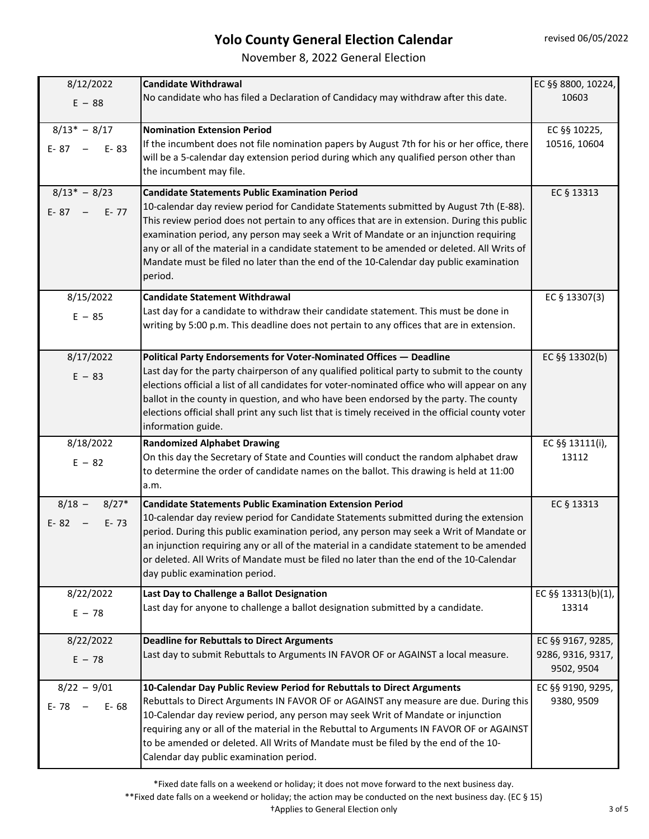November 8, 2022 General Election

| 8/12/2022              | <b>Candidate Withdrawal</b>                                                                                                                                                                                                                                                                                                                                                                                                                                                      | EC §§ 8800, 10224, |
|------------------------|----------------------------------------------------------------------------------------------------------------------------------------------------------------------------------------------------------------------------------------------------------------------------------------------------------------------------------------------------------------------------------------------------------------------------------------------------------------------------------|--------------------|
| $E - 88$               | No candidate who has filed a Declaration of Candidacy may withdraw after this date.                                                                                                                                                                                                                                                                                                                                                                                              | 10603              |
| $8/13^* - 8/17$        | <b>Nomination Extension Period</b>                                                                                                                                                                                                                                                                                                                                                                                                                                               | EC §§ 10225,       |
| $E - 87 - E - 83$      | If the incumbent does not file nomination papers by August 7th for his or her office, there<br>will be a 5-calendar day extension period during which any qualified person other than<br>the incumbent may file.                                                                                                                                                                                                                                                                 | 10516, 10604       |
| $8/13^* - 8/23$        | <b>Candidate Statements Public Examination Period</b>                                                                                                                                                                                                                                                                                                                                                                                                                            | EC § 13313         |
| $E-87 - E-77$          | 10-calendar day review period for Candidate Statements submitted by August 7th (E-88).<br>This review period does not pertain to any offices that are in extension. During this public<br>examination period, any person may seek a Writ of Mandate or an injunction requiring<br>any or all of the material in a candidate statement to be amended or deleted. All Writs of<br>Mandate must be filed no later than the end of the 10-Calendar day public examination<br>period. |                    |
| 8/15/2022              | <b>Candidate Statement Withdrawal</b>                                                                                                                                                                                                                                                                                                                                                                                                                                            | EC § 13307(3)      |
| $E - 85$               | Last day for a candidate to withdraw their candidate statement. This must be done in<br>writing by 5:00 p.m. This deadline does not pertain to any offices that are in extension.                                                                                                                                                                                                                                                                                                |                    |
| 8/17/2022              | Political Party Endorsements for Voter-Nominated Offices - Deadline                                                                                                                                                                                                                                                                                                                                                                                                              | EC §§ 13302(b)     |
| $E - 83$               | Last day for the party chairperson of any qualified political party to submit to the county                                                                                                                                                                                                                                                                                                                                                                                      |                    |
|                        | elections official a list of all candidates for voter-nominated office who will appear on any<br>ballot in the county in question, and who have been endorsed by the party. The county                                                                                                                                                                                                                                                                                           |                    |
|                        | elections official shall print any such list that is timely received in the official county voter                                                                                                                                                                                                                                                                                                                                                                                |                    |
|                        | information guide.                                                                                                                                                                                                                                                                                                                                                                                                                                                               |                    |
| 8/18/2022              | <b>Randomized Alphabet Drawing</b>                                                                                                                                                                                                                                                                                                                                                                                                                                               | EC §§ 13111(i),    |
| $E - 82$               | On this day the Secretary of State and Counties will conduct the random alphabet draw                                                                                                                                                                                                                                                                                                                                                                                            | 13112              |
|                        | to determine the order of candidate names on the ballot. This drawing is held at 11:00<br>a.m.                                                                                                                                                                                                                                                                                                                                                                                   |                    |
| $8/18 -$<br>$8/27*$    | <b>Candidate Statements Public Examination Extension Period</b>                                                                                                                                                                                                                                                                                                                                                                                                                  | EC § 13313         |
| $E - 73$<br>$E - 82 -$ | 10-calendar day review period for Candidate Statements submitted during the extension                                                                                                                                                                                                                                                                                                                                                                                            |                    |
|                        | period. During this public examination period, any person may seek a Writ of Mandate or                                                                                                                                                                                                                                                                                                                                                                                          |                    |
|                        | an injunction requiring any or all of the material in a candidate statement to be amended<br>or deleted. All Writs of Mandate must be filed no later than the end of the 10-Calendar                                                                                                                                                                                                                                                                                             |                    |
|                        | day public examination period.                                                                                                                                                                                                                                                                                                                                                                                                                                                   |                    |
| 8/22/2022              | Last Day to Challenge a Ballot Designation                                                                                                                                                                                                                                                                                                                                                                                                                                       | EC §§ 13313(b)(1), |
|                        | Last day for anyone to challenge a ballot designation submitted by a candidate.                                                                                                                                                                                                                                                                                                                                                                                                  | 13314              |
| $E - 78$               |                                                                                                                                                                                                                                                                                                                                                                                                                                                                                  |                    |
| 8/22/2022              | <b>Deadline for Rebuttals to Direct Arguments</b>                                                                                                                                                                                                                                                                                                                                                                                                                                | EC §§ 9167, 9285,  |
| $E - 78$               | Last day to submit Rebuttals to Arguments IN FAVOR OF or AGAINST a local measure.                                                                                                                                                                                                                                                                                                                                                                                                | 9286, 9316, 9317,  |
|                        |                                                                                                                                                                                                                                                                                                                                                                                                                                                                                  | 9502, 9504         |
| $8/22 - 9/01$          | 10-Calendar Day Public Review Period for Rebuttals to Direct Arguments                                                                                                                                                                                                                                                                                                                                                                                                           | EC §§ 9190, 9295,  |
| E-78<br>$E - 68$       | Rebuttals to Direct Arguments IN FAVOR OF or AGAINST any measure are due. During this                                                                                                                                                                                                                                                                                                                                                                                            | 9380, 9509         |
|                        | 10-Calendar day review period, any person may seek Writ of Mandate or injunction<br>requiring any or all of the material in the Rebuttal to Arguments IN FAVOR OF or AGAINST                                                                                                                                                                                                                                                                                                     |                    |
|                        | to be amended or deleted. All Writs of Mandate must be filed by the end of the 10-                                                                                                                                                                                                                                                                                                                                                                                               |                    |
|                        | Calendar day public examination period.                                                                                                                                                                                                                                                                                                                                                                                                                                          |                    |

\*Fixed date falls on a weekend or holiday; it does not move forward to the next business day.

\*\*Fixed date falls on a weekend or holiday; the action may be conducted on the next business day. (EC § 15)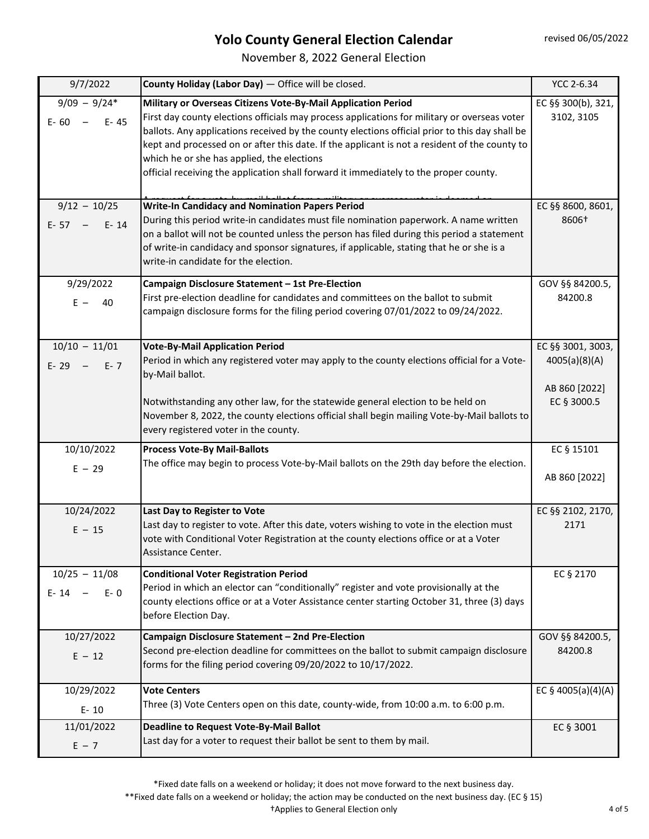November 8, 2022 General Election

| 9/7/2022                               | County Holiday (Labor Day) - Office will be closed.                                                                                                                                                                                                                                                                                                                                                                                                                                                     | YCC 2-6.34                                                         |
|----------------------------------------|---------------------------------------------------------------------------------------------------------------------------------------------------------------------------------------------------------------------------------------------------------------------------------------------------------------------------------------------------------------------------------------------------------------------------------------------------------------------------------------------------------|--------------------------------------------------------------------|
| $9/09 - 9/24*$<br>$E - 60 - E - 45$    | Military or Overseas Citizens Vote-By-Mail Application Period<br>First day county elections officials may process applications for military or overseas voter<br>ballots. Any applications received by the county elections official prior to this day shall be<br>kept and processed on or after this date. If the applicant is not a resident of the county to<br>which he or she has applied, the elections<br>official receiving the application shall forward it immediately to the proper county. | EC §§ 300(b), 321,<br>3102, 3105                                   |
| $9/12 - 10/25$<br>$E - 57 - E - 14$    | <b>Write-In Candidacy and Nomination Papers Period</b><br>During this period write-in candidates must file nomination paperwork. A name written<br>on a ballot will not be counted unless the person has filed during this period a statement<br>of write-in candidacy and sponsor signatures, if applicable, stating that he or she is a<br>write-in candidate for the election.                                                                                                                       | EC §§ 8600, 8601,<br>8606+                                         |
| 9/29/2022<br>$E -$<br>40               | Campaign Disclosure Statement - 1st Pre-Election<br>First pre-election deadline for candidates and committees on the ballot to submit<br>campaign disclosure forms for the filing period covering 07/01/2022 to 09/24/2022.                                                                                                                                                                                                                                                                             | GOV §§ 84200.5,<br>84200.8                                         |
| $10/10 - 11/01$<br>$E - 29 - E - 7$    | <b>Vote-By-Mail Application Period</b><br>Period in which any registered voter may apply to the county elections official for a Vote-<br>by-Mail ballot.<br>Notwithstanding any other law, for the statewide general election to be held on<br>November 8, 2022, the county elections official shall begin mailing Vote-by-Mail ballots to<br>every registered voter in the county.                                                                                                                     | EC §§ 3001, 3003,<br>4005(a)(8)(A)<br>AB 860 [2022]<br>EC § 3000.5 |
| 10/10/2022<br>$E - 29$                 | <b>Process Vote-By Mail-Ballots</b><br>The office may begin to process Vote-by-Mail ballots on the 29th day before the election.                                                                                                                                                                                                                                                                                                                                                                        | EC § 15101<br>AB 860 [2022]                                        |
| 10/24/2022<br>$E - 15$                 | Last Day to Register to Vote<br>Last day to register to vote. After this date, voters wishing to vote in the election must<br>vote with Conditional Voter Registration at the county elections office or at a Voter<br>Assistance Center.                                                                                                                                                                                                                                                               | EC §§ 2102, 2170,<br>2171                                          |
| $10/25 - 11/08$<br>$E - 14$<br>$E - 0$ | <b>Conditional Voter Registration Period</b><br>Period in which an elector can "conditionally" register and vote provisionally at the<br>county elections office or at a Voter Assistance center starting October 31, three (3) days<br>before Election Day.                                                                                                                                                                                                                                            | EC § 2170                                                          |
| 10/27/2022<br>$E - 12$                 | Campaign Disclosure Statement - 2nd Pre-Election<br>Second pre-election deadline for committees on the ballot to submit campaign disclosure<br>forms for the filing period covering 09/20/2022 to 10/17/2022.                                                                                                                                                                                                                                                                                           | GOV §§ 84200.5,<br>84200.8                                         |
| 10/29/2022<br>$E - 10$                 | <b>Vote Centers</b><br>Three (3) Vote Centers open on this date, county-wide, from 10:00 a.m. to 6:00 p.m.                                                                                                                                                                                                                                                                                                                                                                                              | EC § 4005(a)(4)(A)                                                 |
| 11/01/2022<br>$E - 7$                  | <b>Deadline to Request Vote-By-Mail Ballot</b><br>Last day for a voter to request their ballot be sent to them by mail.                                                                                                                                                                                                                                                                                                                                                                                 | EC § 3001                                                          |

\*Fixed date falls on a weekend or holiday; it does not move forward to the next business day.

\*\*Fixed date falls on a weekend or holiday; the action may be conducted on the next business day. (EC § 15)